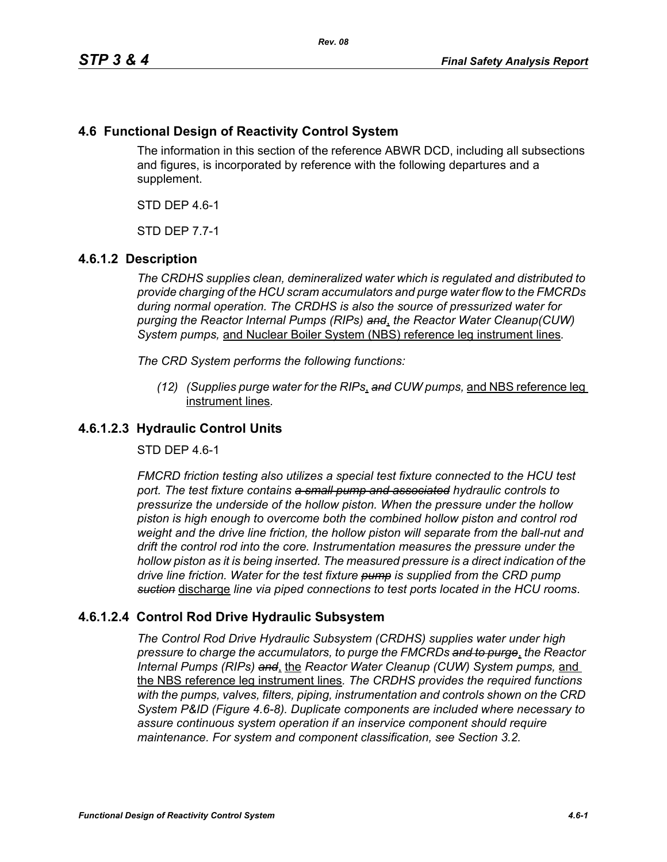# **4.6 Functional Design of Reactivity Control System**

The information in this section of the reference ABWR DCD, including all subsections and figures, is incorporated by reference with the following departures and a supplement.

STD DEP 4.6-1

STD DEP 7.7-1

## **4.6.1.2 Description**

*The CRDHS supplies clean, demineralized water which is regulated and distributed to provide charging of the HCU scram accumulators and purge water flow to the FMCRDs during normal operation. The CRDHS is also the source of pressurized water for purging the Reactor Internal Pumps (RIPs) and*, *the Reactor Water Cleanup(CUW) System pumps,* and Nuclear Boiler System (NBS) reference leg instrument lines*.*

*The CRD System performs the following functions:*

*(12) (Supplies purge water for the RIPs*, *and CUW pumps,* and NBS reference leg instrument lines*.*

### **4.6.1.2.3 Hydraulic Control Units**

STD DEP 4.6-1

*FMCRD friction testing also utilizes a special test fixture connected to the HCU test port. The test fixture contains a small pump and associated hydraulic controls to pressurize the underside of the hollow piston. When the pressure under the hollow piston is high enough to overcome both the combined hollow piston and control rod weight and the drive line friction, the hollow piston will separate from the ball-nut and drift the control rod into the core. Instrumentation measures the pressure under the hollow piston as it is being inserted. The measured pressure is a direct indication of the drive line friction. Water for the test fixture pump is supplied from the CRD pump suction* discharge *line via piped connections to test ports located in the HCU rooms*.

## **4.6.1.2.4 Control Rod Drive Hydraulic Subsystem**

*The Control Rod Drive Hydraulic Subsystem (CRDHS) supplies water under high pressure to charge the accumulators, to purge the FMCRDs and to purge*, *the Reactor Internal Pumps (RIPs) and*, the *Reactor Water Cleanup (CUW) System pumps,* and the NBS reference leg instrument lines*. The CRDHS provides the required functions with the pumps, valves, filters, piping, instrumentation and controls shown on the CRD System P&ID (Figure 4.6-8). Duplicate components are included where necessary to assure continuous system operation if an inservice component should require maintenance. For system and component classification, see Section 3.2.*